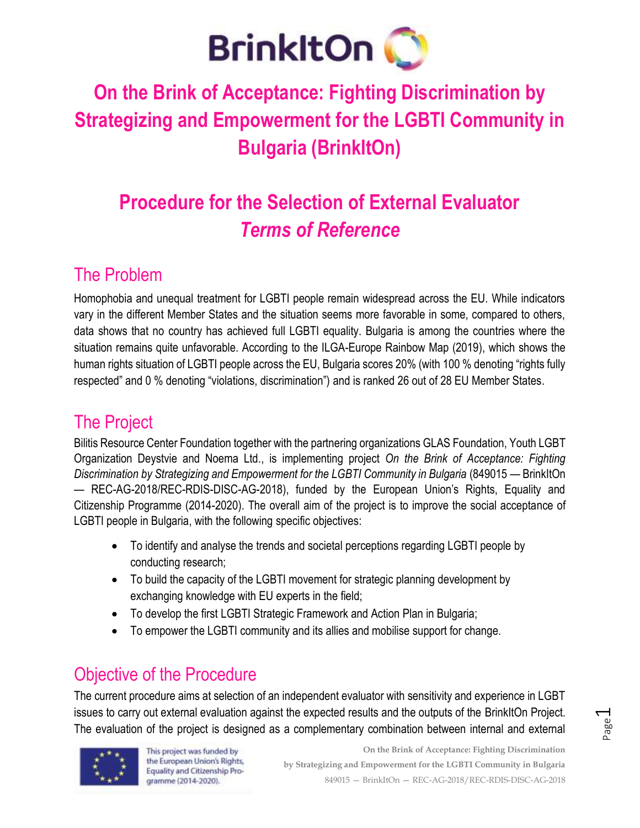

# **On the Brink of Acceptance: Fighting Discrimination by Strategizing and Empowerment for the LGBTI Community in Bulgaria (BrinkItOn)**

# **Procedure for the Selection of External Evaluator** *Terms of Reference*

### The Problem

Homophobia and unequal treatment for LGBTI people remain widespread across the EU. While indicators vary in the different Member States and the situation seems more favorable in some, compared to others, data shows that no country has achieved full LGBTI equality. Bulgaria is among the countries where the situation remains quite unfavorable. According to the ILGA-Europe Rainbow Map (2019), which shows the human rights situation of LGBTI people across the EU, Bulgaria scores 20% (with 100 % denoting "rights fully respected" and 0 % denoting "violations, discrimination") and is ranked 26 out of 28 EU Member States.

# The Project

Bilitis Resource Center Foundation together with the partnering organizations GLAS Foundation, Youth LGBT Organization Deystvie and Noema Ltd., is implementing project *On the Brink of Acceptance: Fighting Discrimination by Strategizing and Empowerment for the LGBTI Community in Bulgaria* (849015 — BrinkItOn — REC-AG-2018/REC-RDIS-DISC-AG-2018), funded by the European Union's Rights, Equality and Citizenship Programme (2014-2020). The overall aim of the project is to improve the social acceptance of LGBTI people in Bulgaria, with the following specific objectives:

- To identify and analyse the trends and societal perceptions regarding LGBTI people by conducting research;
- To build the capacity of the LGBTI movement for strategic planning development by exchanging knowledge with EU experts in the field;
- To develop the first LGBTI Strategic Framework and Action Plan in Bulgaria;
- To empower the LGBTI community and its allies and mobilise support for change.

# Objective of the Procedure

The current procedure aims at selection of an independent evaluator with sensitivity and experience in LGBT issues to carry out external evaluation against the expected results and the outputs of the BrinkItOn Project. The evaluation of the project is designed as a complementary combination between internal and external



This project was funded by the European Union's Rights, Equality and Citizenship Programme (2014-2020).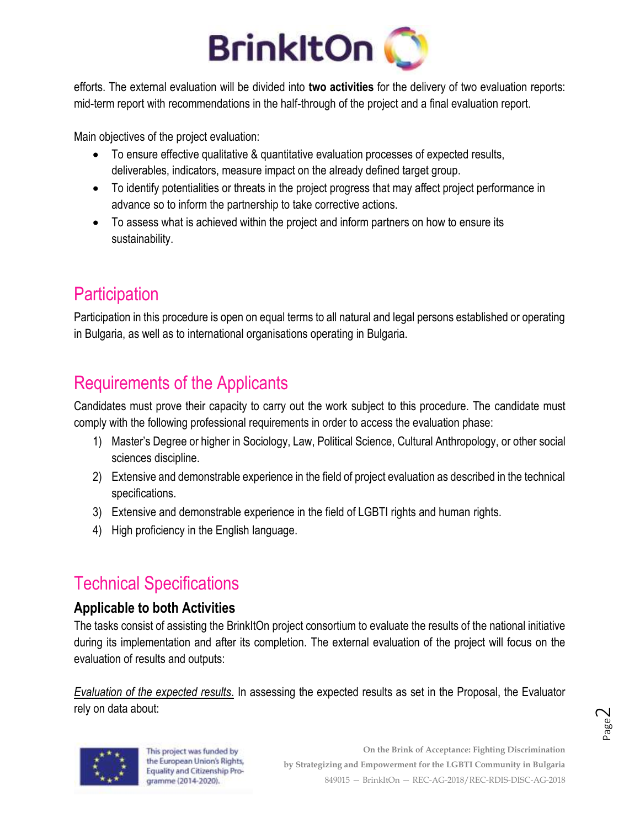

efforts. The external evaluation will be divided into **two activities** for the delivery of two evaluation reports: mid-term report with recommendations in the half-through of the project and a final evaluation report.

Main objectives of the project evaluation:

- To ensure effective qualitative & quantitative evaluation processes of expected results, deliverables, indicators, measure impact on the already defined target group.
- To identify potentialities or threats in the project progress that may affect project performance in advance so to inform the partnership to take corrective actions.
- To assess what is achieved within the project and inform partners on how to ensure its sustainability.

# **Participation**

Participation in this procedure is open on equal terms to all natural and legal persons established or operating in Bulgaria, as well as to international organisations operating in Bulgaria.

# Requirements of the Applicants

Candidates must prove their capacity to carry out the work subject to this procedure. The candidate must comply with the following professional requirements in order to access the evaluation phase:

- 1) Master's Degree or higher in Sociology, Law, Political Science, Cultural Anthropology, or other social sciences discipline.
- 2) Extensive and demonstrable experience in the field of project evaluation as described in the technical specifications.
- 3) Extensive and demonstrable experience in the field of LGBTI rights and human rights.
- 4) High proficiency in the English language.

# Technical Specifications

#### **Applicable to both Activities**

The tasks consist of assisting the BrinkItOn project consortium to evaluate the results of the national initiative during its implementation and after its completion. The external evaluation of the project will focus on the evaluation of results and outputs:

*Evaluation of the expected results*. In assessing the expected results as set in the Proposal, the Evaluator rely on data about:



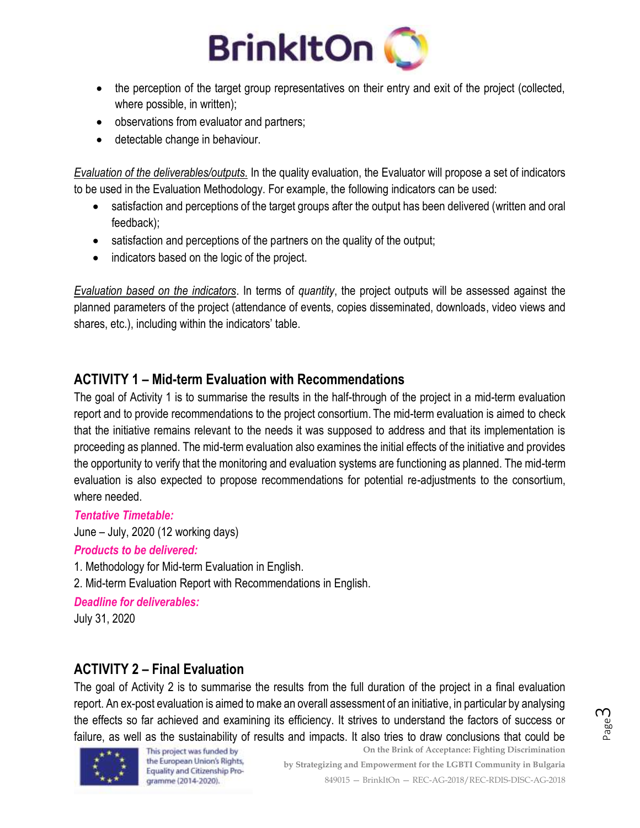

- the perception of the target group representatives on their entry and exit of the project (collected, where possible, in written);
- observations from evaluator and partners;
- detectable change in behaviour.

*Evaluation of the deliverables/outputs.* In the quality evaluation, the Evaluator will propose a set of indicators to be used in the Evaluation Methodology. For example, the following indicators can be used:

- satisfaction and perceptions of the target groups after the output has been delivered (written and oral feedback);
- satisfaction and perceptions of the partners on the quality of the output;
- indicators based on the logic of the project.

*Evaluation based on the indicators*. In terms of *quantity*, the project outputs will be assessed against the planned parameters of the project (attendance of events, copies disseminated, downloads, video views and shares, etc.), including within the indicators' table.

#### **ACTIVITY 1 – Mid-term Evaluation with Recommendations**

The goal of Activity 1 is to summarise the results in the half-through of the project in a mid-term evaluation report and to provide recommendations to the project consortium. The mid-term evaluation is aimed to check that the initiative remains relevant to the needs it was supposed to address and that its implementation is proceeding as planned. The mid-term evaluation also examines the initial effects of the initiative and provides the opportunity to verify that the monitoring and evaluation systems are functioning as planned. The mid-term evaluation is also expected to propose recommendations for potential re-adjustments to the consortium, where needed.

#### *Tentative Timetable:*

June – July, 2020 (12 working days)

#### *Products to be delivered:*

1. Methodology for Mid-term Evaluation in English.

2. Mid-term Evaluation Report with Recommendations in English.

*Deadline for deliverables:*

July 31, 2020

#### **ACTIVITY 2 – Final Evaluation**

The goal of Activity 2 is to summarise the results from the full duration of the project in a final evaluation report. An ex-post evaluation is aimed to make an overall assessment of an initiative, in particular by analysing the effects so far achieved and examining its efficiency. It strives to understand the factors of success or failure, as well as the sustainability of results and impacts. It also tries to draw conclusions that could be



This project was funded by the European Union's Rights, Equality and Citizenship Programme (2014-2020).

**On the Brink of Acceptance: Fighting Discrimination by Strategizing and Empowerment for the LGBTI Community in Bulgaria** 849015 — BrinkItOn — REC-AG-2018/REC-RDIS-DISC-AG-2018